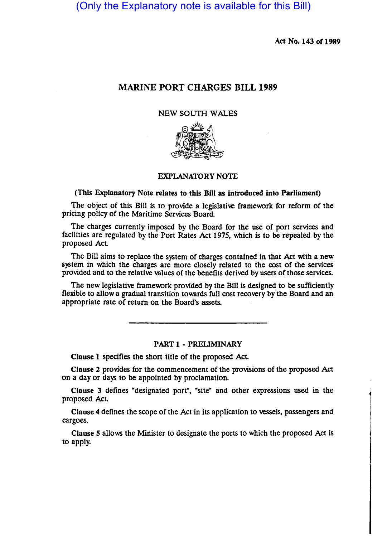(Only the Explanatory note is available for this Bill)

Act No. 143 of 1989

# MARINE PORT CHARGES BILL 1989

### NEW SOUTH WALES



## EXPLANATORY NOTE

(This Explanatory Note relates to this Bill as introduced into Parliament)

The object of this Bill is to provide a legislative framework for reform of the pricing policy of the Maritime Services Board

The charges currently imposed by the Board for the use of port services and facilities are regulated by the Port Rates Act 1975, which is to be repealed by the proposed Act

The Bill aims to replace the system of charges contained in that Act with a new system in which the charges are more closely related to the cost of the services provided and to the relative values of the benefits derived by users of those services.

The new legislative framework provided by the Bill is designed to be sufficiently flexible to allow a gradual transition towards full cost recovery by the Board and an appropriate rate of return on the Board's assets.

#### PART 1 - PRELIMINARY

Clause 1 specifies the short title of the proposed Act.

Clause 2 provides for the commencement of the prOvisions of the proposed Act on a day or days to be appointed by proclamation.

Clause 3 defines "designated port", "site" and other expressions used in the proposed Act

Clause 4 defines the scope of the Act in its application to vessels, passengers and cargoes.

Clause 5 allows the Minister to designate the ports to which the proposed Act is to apply.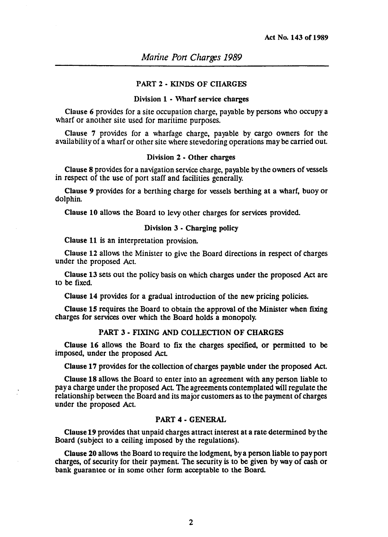#### PART 2 • KINDS OF CHARGES

#### Division 1 • Wharf service charges

Clause 6 provides for a site occupation charge, payable by persons who occupy a wharf or another site used for maritime purposes.

Clause 7 provides for a wharfage charge, payable by cargo owners for the availability of a wharf or other site where stevedoring operations may be carried out.

### Division 2 • Other charges

Clause 8 provides for a navigation service charge, payable by the owners of vessels in respect of the use of port staff and facilities generally.

Clause 9 provides for a berthing charge for vessels berthing at a wharf, buoy or dolphin.

Clause 10 allows the Board to levy other charges for services provided.

### Division 3 • Charging policy

Clause 11 is an interpretation provision.

Clause 12 allows the Minister to give the Board directions in respect of charges under the proposed Act.

Clause 13 sets out the policy basis on which charges under the proposed Act are to be fixed.

Clause 14 provides for a gradual introduction of the new pricing pOlicies.

Clause 15 requires the Board to obtain the approval of the Minister when fixing charges for services over which the Board holds a monopoly.

### PART 3 • FIXING AND COLLECTION OF CHARGES

Clause 16 allows the Board to fix the charges specified, or permitted to be imposed, under the proposed Act

Clause 17 provides for the collection of charges payable under the proposed Act

Clause 18 allows the Board to enter into an agreement with any person liable to pay a charge under the proposed Act The agreements contemplated will regulate the relationship between the Board and its major customers as to the payment of charges under the proposed Act.

#### PART 4 - GENERAL

Clause 19 provides that unpaid charges attract interest at a rate determined by the Board (subject to a ceiling imposed by the regulations).

Clause 20 allows the Board to require the lodgment, by a person liable to pay port charges, of security for their payment. The security is to be given by way of cash or bank guarantee or in some other form acceptable to the Board.